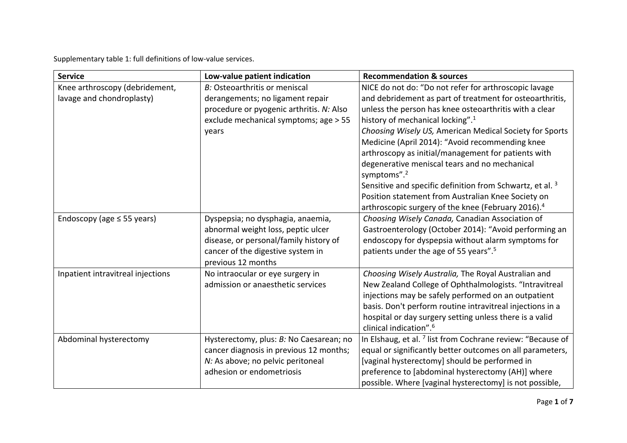Supplementary table 1: full definitions of low-value services.

| <b>Service</b>                    | Low-value patient indication             | <b>Recommendation &amp; sources</b>                                      |
|-----------------------------------|------------------------------------------|--------------------------------------------------------------------------|
| Knee arthroscopy (debridement,    | B: Osteoarthritis or meniscal            | NICE do not do: "Do not refer for arthroscopic lavage                    |
| lavage and chondroplasty)         | derangements; no ligament repair         | and debridement as part of treatment for osteoarthritis,                 |
|                                   | procedure or pyogenic arthritis. N: Also | unless the person has knee osteoarthritis with a clear                   |
|                                   | exclude mechanical symptoms; age > 55    | history of mechanical locking". <sup>1</sup>                             |
|                                   | years                                    | Choosing Wisely US, American Medical Society for Sports                  |
|                                   |                                          | Medicine (April 2014): "Avoid recommending knee                          |
|                                   |                                          | arthroscopy as initial/management for patients with                      |
|                                   |                                          | degenerative meniscal tears and no mechanical<br>symptoms". <sup>2</sup> |
|                                   |                                          | Sensitive and specific definition from Schwartz, et al. <sup>3</sup>     |
|                                   |                                          | Position statement from Australian Knee Society on                       |
|                                   |                                          | arthroscopic surgery of the knee (February 2016). <sup>4</sup>           |
| Endoscopy (age $\leq$ 55 years)   | Dyspepsia; no dysphagia, anaemia,        | Choosing Wisely Canada, Canadian Association of                          |
|                                   | abnormal weight loss, peptic ulcer       | Gastroenterology (October 2014): "Avoid performing an                    |
|                                   | disease, or personal/family history of   | endoscopy for dyspepsia without alarm symptoms for                       |
|                                   | cancer of the digestive system in        | patients under the age of 55 years". <sup>5</sup>                        |
|                                   | previous 12 months                       |                                                                          |
| Inpatient intravitreal injections | No intraocular or eye surgery in         | Choosing Wisely Australia, The Royal Australian and                      |
|                                   | admission or anaesthetic services        | New Zealand College of Ophthalmologists. "Intravitreal                   |
|                                   |                                          | injections may be safely performed on an outpatient                      |
|                                   |                                          | basis. Don't perform routine intravitreal injections in a                |
|                                   |                                          | hospital or day surgery setting unless there is a valid                  |
|                                   |                                          | clinical indication". <sup>6</sup>                                       |
| Abdominal hysterectomy            | Hysterectomy, plus: B: No Caesarean; no  | In Elshaug, et al. <sup>7</sup> list from Cochrane review: "Because of   |
|                                   | cancer diagnosis in previous 12 months;  | equal or significantly better outcomes on all parameters,                |
|                                   | N: As above; no pelvic peritoneal        | [vaginal hysterectomy] should be performed in                            |
|                                   | adhesion or endometriosis                | preference to [abdominal hysterectomy (AH)] where                        |
|                                   |                                          | possible. Where [vaginal hysterectomy] is not possible,                  |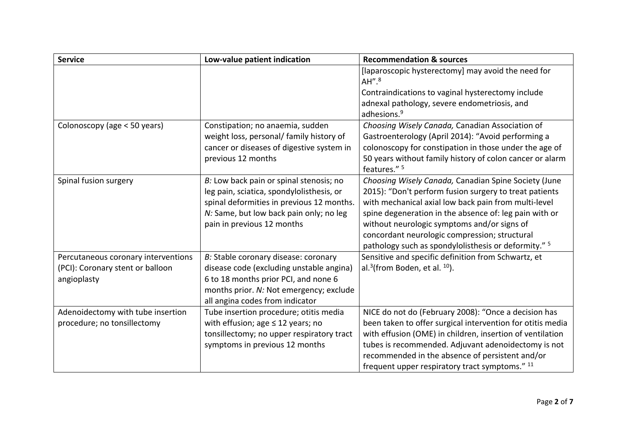| <b>Service</b>                      | Low-value patient indication              | <b>Recommendation &amp; sources</b>                        |
|-------------------------------------|-------------------------------------------|------------------------------------------------------------|
|                                     |                                           | [laparoscopic hysterectomy] may avoid the need for         |
|                                     |                                           | AH''. <sup>8</sup>                                         |
|                                     |                                           | Contraindications to vaginal hysterectomy include          |
|                                     |                                           | adnexal pathology, severe endometriosis, and               |
|                                     |                                           | adhesions. <sup>9</sup>                                    |
| Colonoscopy (age < 50 years)        | Constipation; no anaemia, sudden          | Choosing Wisely Canada, Canadian Association of            |
|                                     | weight loss, personal/ family history of  | Gastroenterology (April 2014): "Avoid performing a         |
|                                     | cancer or diseases of digestive system in | colonoscopy for constipation in those under the age of     |
|                                     | previous 12 months                        | 50 years without family history of colon cancer or alarm   |
|                                     |                                           | features." <sup>5</sup>                                    |
| Spinal fusion surgery               | B: Low back pain or spinal stenosis; no   | Choosing Wisely Canada, Canadian Spine Society (June       |
|                                     | leg pain, sciatica, spondylolisthesis, or | 2015): "Don't perform fusion surgery to treat patients     |
|                                     | spinal deformities in previous 12 months. | with mechanical axial low back pain from multi-level       |
|                                     | N: Same, but low back pain only; no leg   | spine degeneration in the absence of: leg pain with or     |
|                                     | pain in previous 12 months                | without neurologic symptoms and/or signs of                |
|                                     |                                           | concordant neurologic compression; structural              |
|                                     |                                           | pathology such as spondylolisthesis or deformity." 5       |
| Percutaneous coronary interventions | B: Stable coronary disease: coronary      | Sensitive and specific definition from Schwartz, et        |
| (PCI): Coronary stent or balloon    | disease code (excluding unstable angina)  | al. $3$ (from Boden, et al. $10$ ).                        |
| angioplasty                         | 6 to 18 months prior PCI, and none 6      |                                                            |
|                                     | months prior. N: Not emergency; exclude   |                                                            |
|                                     | all angina codes from indicator           |                                                            |
| Adenoidectomy with tube insertion   | Tube insertion procedure; otitis media    | NICE do not do (February 2008): "Once a decision has       |
| procedure; no tonsillectomy         | with effusion; age $\leq$ 12 years; no    | been taken to offer surgical intervention for otitis media |
|                                     | tonsillectomy; no upper respiratory tract | with effusion (OME) in children, insertion of ventilation  |
|                                     | symptoms in previous 12 months            | tubes is recommended. Adjuvant adenoidectomy is not        |
|                                     |                                           | recommended in the absence of persistent and/or            |
|                                     |                                           | frequent upper respiratory tract symptoms." 11             |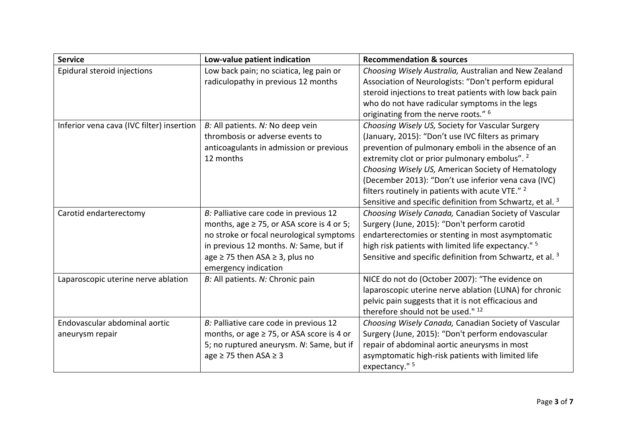| <b>Service</b>                            | Low-value patient indication                   | <b>Recommendation &amp; sources</b>                                  |
|-------------------------------------------|------------------------------------------------|----------------------------------------------------------------------|
| Epidural steroid injections               | Low back pain; no sciatica, leg pain or        | Choosing Wisely Australia, Australian and New Zealand                |
|                                           | radiculopathy in previous 12 months            | Association of Neurologists: "Don't perform epidural                 |
|                                           |                                                | steroid injections to treat patients with low back pain              |
|                                           |                                                | who do not have radicular symptoms in the legs                       |
|                                           |                                                | originating from the nerve roots." <sup>6</sup>                      |
| Inferior vena cava (IVC filter) insertion | B: All patients. N: No deep vein               | Choosing Wisely US, Society for Vascular Surgery                     |
|                                           | thrombosis or adverse events to                | (January, 2015): "Don't use IVC filters as primary                   |
|                                           | anticoagulants in admission or previous        | prevention of pulmonary emboli in the absence of an                  |
|                                           | 12 months                                      | extremity clot or prior pulmonary embolus". <sup>2</sup>             |
|                                           |                                                | Choosing Wisely US, American Society of Hematology                   |
|                                           |                                                | (December 2013): "Don't use inferior vena cava (IVC)                 |
|                                           |                                                | filters routinely in patients with acute VTE." 2                     |
|                                           |                                                | Sensitive and specific definition from Schwartz, et al. <sup>3</sup> |
| Carotid endarterectomy                    | B: Palliative care code in previous 12         | Choosing Wisely Canada, Canadian Society of Vascular                 |
|                                           | months, age $\geq$ 75, or ASA score is 4 or 5; | Surgery (June, 2015): "Don't perform carotid                         |
|                                           | no stroke or focal neurological symptoms       | endarterectomies or stenting in most asymptomatic                    |
|                                           | in previous 12 months. N: Same, but if         | high risk patients with limited life expectancy." 5                  |
|                                           | age $\ge$ 75 then ASA $\ge$ 3, plus no         | Sensitive and specific definition from Schwartz, et al. 3            |
|                                           | emergency indication                           |                                                                      |
| Laparoscopic uterine nerve ablation       | B: All patients. N: Chronic pain               | NICE do not do (October 2007): "The evidence on                      |
|                                           |                                                | laparoscopic uterine nerve ablation (LUNA) for chronic               |
|                                           |                                                | pelvic pain suggests that it is not efficacious and                  |
|                                           |                                                | therefore should not be used." 12                                    |
| Endovascular abdominal aortic             | B: Palliative care code in previous 12         | Choosing Wisely Canada, Canadian Society of Vascular                 |
| aneurysm repair                           | months, or age ≥ 75, or ASA score is 4 or      | Surgery (June, 2015): "Don't perform endovascular                    |
|                                           | 5; no ruptured aneurysm. N: Same, but if       | repair of abdominal aortic aneurysms in most                         |
|                                           | age $\geq$ 75 then ASA $\geq$ 3                | asymptomatic high-risk patients with limited life                    |
|                                           |                                                | expectancy." 5                                                       |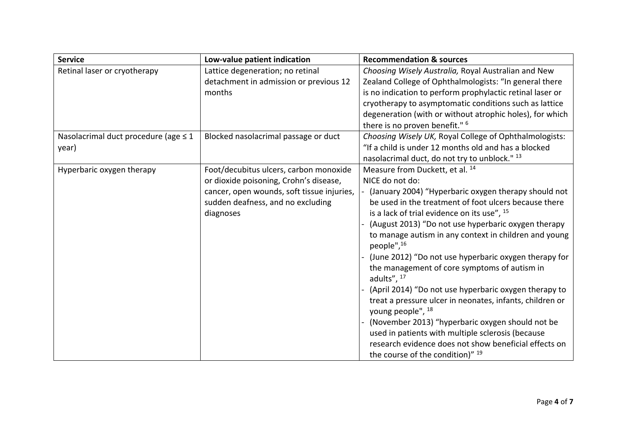| <b>Service</b>                                     | Low-value patient indication                                                                                                                                                     | <b>Recommendation &amp; sources</b>                                                                                                                                                                                                                                                                                                                                                                                                                                                                                                                                                                                                                                                                                                                                                                                                                                   |
|----------------------------------------------------|----------------------------------------------------------------------------------------------------------------------------------------------------------------------------------|-----------------------------------------------------------------------------------------------------------------------------------------------------------------------------------------------------------------------------------------------------------------------------------------------------------------------------------------------------------------------------------------------------------------------------------------------------------------------------------------------------------------------------------------------------------------------------------------------------------------------------------------------------------------------------------------------------------------------------------------------------------------------------------------------------------------------------------------------------------------------|
| Retinal laser or cryotherapy                       | Lattice degeneration; no retinal<br>detachment in admission or previous 12<br>months                                                                                             | Choosing Wisely Australia, Royal Australian and New<br>Zealand College of Ophthalmologists: "In general there<br>is no indication to perform prophylactic retinal laser or<br>cryotherapy to asymptomatic conditions such as lattice<br>degeneration (with or without atrophic holes), for which<br>there is no proven benefit." <sup>6</sup>                                                                                                                                                                                                                                                                                                                                                                                                                                                                                                                         |
| Nasolacrimal duct procedure (age $\leq 1$<br>year) | Blocked nasolacrimal passage or duct                                                                                                                                             | Choosing Wisely UK, Royal College of Ophthalmologists:<br>"If a child is under 12 months old and has a blocked<br>nasolacrimal duct, do not try to unblock." 13                                                                                                                                                                                                                                                                                                                                                                                                                                                                                                                                                                                                                                                                                                       |
| Hyperbaric oxygen therapy                          | Foot/decubitus ulcers, carbon monoxide<br>or dioxide poisoning, Crohn's disease,<br>cancer, open wounds, soft tissue injuries,<br>sudden deafness, and no excluding<br>diagnoses | Measure from Duckett, et al. <sup>14</sup><br>NICE do not do:<br>(January 2004) "Hyperbaric oxygen therapy should not<br>be used in the treatment of foot ulcers because there<br>is a lack of trial evidence on its use", <sup>15</sup><br>(August 2013) "Do not use hyperbaric oxygen therapy<br>to manage autism in any context in children and young<br>people", <sup>16</sup><br>(June 2012) "Do not use hyperbaric oxygen therapy for<br>the management of core symptoms of autism in<br>adults", 17<br>(April 2014) "Do not use hyperbaric oxygen therapy to<br>treat a pressure ulcer in neonates, infants, children or<br>young people", <sup>18</sup><br>(November 2013) "hyperbaric oxygen should not be<br>used in patients with multiple sclerosis (because<br>research evidence does not show beneficial effects on<br>the course of the condition)" 19 |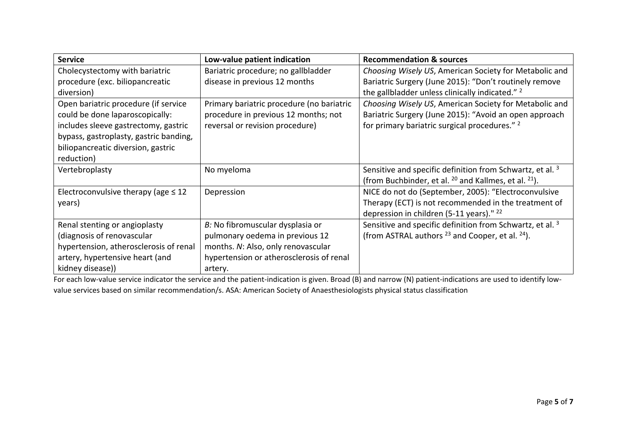| <b>Service</b>                           | Low-value patient indication              | <b>Recommendation &amp; sources</b>                                  |
|------------------------------------------|-------------------------------------------|----------------------------------------------------------------------|
| Cholecystectomy with bariatric           | Bariatric procedure; no gallbladder       | Choosing Wisely US, American Society for Metabolic and               |
| procedure (exc. biliopancreatic          | disease in previous 12 months             | Bariatric Surgery (June 2015): "Don't routinely remove               |
| diversion)                               |                                           | the gallbladder unless clinically indicated." 2                      |
| Open bariatric procedure (if service     | Primary bariatric procedure (no bariatric | Choosing Wisely US, American Society for Metabolic and               |
| could be done laparoscopically:          | procedure in previous 12 months; not      | Bariatric Surgery (June 2015): "Avoid an open approach               |
| includes sleeve gastrectomy, gastric     | reversal or revision procedure)           | for primary bariatric surgical procedures." <sup>2</sup>             |
| bypass, gastroplasty, gastric banding,   |                                           |                                                                      |
| biliopancreatic diversion, gastric       |                                           |                                                                      |
| reduction)                               |                                           |                                                                      |
| Vertebroplasty                           | No myeloma                                | Sensitive and specific definition from Schwartz, et al. <sup>3</sup> |
|                                          |                                           | (from Buchbinder, et al. $^{20}$ and Kallmes, et al. $^{21}$ ).      |
| Electroconvulsive therapy (age $\leq 12$ | Depression                                | NICE do not do (September, 2005): "Electroconvulsive                 |
| years)                                   |                                           | Therapy (ECT) is not recommended in the treatment of                 |
|                                          |                                           | depression in children (5-11 years)." $^{22}$                        |
| Renal stenting or angioplasty            | B: No fibromuscular dysplasia or          | Sensitive and specific definition from Schwartz, et al. <sup>3</sup> |
| (diagnosis of renovascular               | pulmonary oedema in previous 12           | (from ASTRAL authors $^{23}$ and Cooper, et al. $^{24}$ ).           |
| hypertension, atherosclerosis of renal   | months. N: Also, only renovascular        |                                                                      |
| artery, hypertensive heart (and          | hypertension or atherosclerosis of renal  |                                                                      |
| kidney disease))                         | artery.                                   |                                                                      |

For each low-value service indicator the service and the patient-indication is given. Broad (B) and narrow (N) patient-indications are used to identify lowvalue services based on similar recommendation/s. ASA: American Society of Anaesthesiologists physical status classification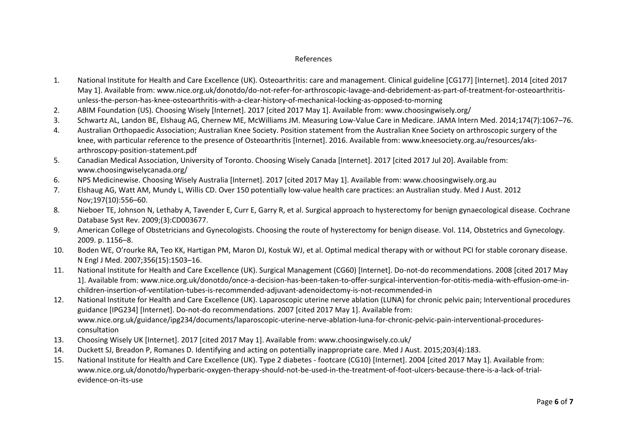## References

- 1. National Institute for Health and Care Excellence (UK). Osteoarthritis: care and management. Clinical guideline [CG177] [Internet]. 2014 [cited 2017 May 1]. Available from: www.nice.org.uk/donotdo/do-not-refer-for-arthroscopic-lavage-and-debridement-as-part-of-treatment-for-osteoarthritisunless-the-person-has-knee-osteoarthritis-with-a-clear-history-of-mechanical-locking-as-opposed-to-morning
- 2. ABIM Foundation (US). Choosing Wisely [Internet]. 2017 [cited 2017 May 1]. Available from: www.choosingwisely.org/
- 3. Schwartz AL, Landon BE, Elshaug AG, Chernew ME, McWilliams JM. Measuring Low-Value Care in Medicare. JAMA Intern Med. 2014;174(7):1067–76.
- 4. Australian Orthopaedic Association; Australian Knee Society. Position statement from the Australian Knee Society on arthroscopic surgery of the knee, with particular reference to the presence of Osteoarthritis [Internet]. 2016. Available from: www.kneesociety.org.au/resources/aksarthroscopy-position-statement.pdf
- 5. Canadian Medical Association, University of Toronto. Choosing Wisely Canada [Internet]. 2017 [cited 2017 Jul 20]. Available from: www.choosingwiselycanada.org/
- 6. NPS Medicinewise. Choosing Wisely Australia [Internet]. 2017 [cited 2017 May 1]. Available from: www.choosingwisely.org.au
- 7. Elshaug AG, Watt AM, Mundy L, Willis CD. Over 150 potentially low-value health care practices: an Australian study. Med J Aust. 2012 Nov;197(10):556–60.
- 8. Nieboer TE, Johnson N, Lethaby A, Tavender E, Curr E, Garry R, et al. Surgical approach to hysterectomy for benign gynaecological disease. Cochrane Database Syst Rev. 2009;(3):CD003677.
- 9. American College of Obstetricians and Gynecologists. Choosing the route of hysterectomy for benign disease. Vol. 114, Obstetrics and Gynecology. 2009. p. 1156–8.
- 10. Boden WE, O'rourke RA, Teo KK, Hartigan PM, Maron DJ, Kostuk WJ, et al. Optimal medical therapy with or without PCI for stable coronary disease. N Engl J Med. 2007;356(15):1503–16.
- 11. National Institute for Health and Care Excellence (UK). Surgical Management (CG60) [Internet]. Do-not-do recommendations. 2008 [cited 2017 May 1]. Available from: www.nice.org.uk/donotdo/once-a-decision-has-been-taken-to-offer-surgical-intervention-for-otitis-media-with-effusion-ome-inchildren-insertion-of-ventilation-tubes-is-recommended-adjuvant-adenoidectomy-is-not-recommended-in
- 12. National Institute for Health and Care Excellence (UK). Laparoscopic uterine nerve ablation (LUNA) for chronic pelvic pain; Interventional procedures guidance [IPG234] [Internet]. Do-not-do recommendations. 2007 [cited 2017 May 1]. Available from: www.nice.org.uk/guidance/ipg234/documents/laparoscopic-uterine-nerve-ablation-luna-for-chronic-pelvic-pain-interventional-proceduresconsultation
- 13. Choosing Wisely UK [Internet]. 2017 [cited 2017 May 1]. Available from: www.choosingwisely.co.uk/
- 14. Duckett SJ, Breadon P, Romanes D. Identifying and acting on potentially inappropriate care. Med J Aust. 2015;203(4):183.
- 15. National Institute for Health and Care Excellence (UK). Type 2 diabetes footcare (CG10) [Internet]. 2004 [cited 2017 May 1]. Available from: www.nice.org.uk/donotdo/hyperbaric-oxygen-therapy-should-not-be-used-in-the-treatment-of-foot-ulcers-because-there-is-a-lack-of-trialevidence-on-its-use